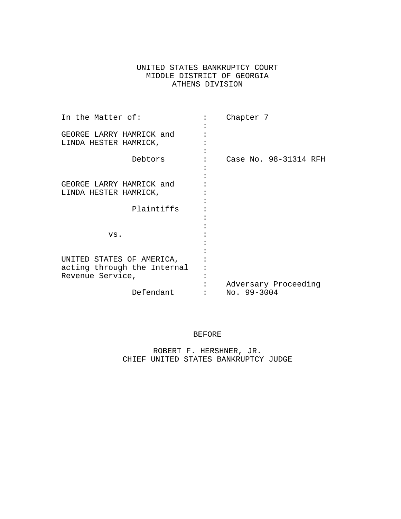# UNITED STATES BANKRUPTCY COURT MIDDLE DISTRICT OF GEORGIA ATHENS DIVISION

| In the Matter of:           |  | Chapter 7             |
|-----------------------------|--|-----------------------|
| GEORGE LARRY HAMRICK and    |  |                       |
| LINDA HESTER HAMRICK,       |  |                       |
|                             |  |                       |
| Debtors                     |  | Case No. 98-31314 RFH |
|                             |  |                       |
|                             |  |                       |
| GEORGE LARRY HAMRICK and    |  |                       |
| LINDA HESTER HAMRICK,       |  |                       |
|                             |  |                       |
| Plaintiffs                  |  |                       |
|                             |  |                       |
|                             |  |                       |
| VS.                         |  |                       |
|                             |  |                       |
| UNITED STATES OF AMERICA,   |  |                       |
| acting through the Internal |  |                       |
| Revenue Service,            |  |                       |
|                             |  | Adversary Proceeding  |
| Defendant                   |  | No. 99-3004           |

# BEFORE

ROBERT F. HERSHNER, JR. CHIEF UNITED STATES BANKRUPTCY JUDGE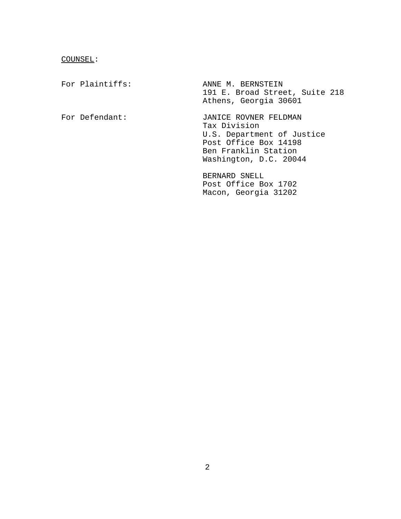### COUNSEL:

For Plaintiffs: ANNE M. BERNSTEIN 191 E. Broad Street, Suite 218 Athens, Georgia 30601 For Defendant: JANICE ROVNER FELDMAN Tax Division U.S. Department of Justice Post Office Box 14198 Ben Franklin Station Washington, D.C. 20044 BERNARD SNELL Post Office Box 1702 Macon, Georgia 31202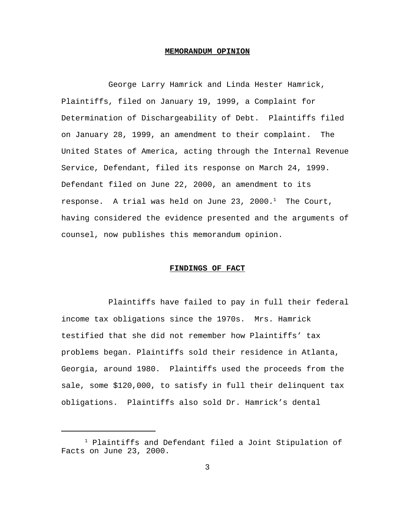#### **MEMORANDUM OPINION**

George Larry Hamrick and Linda Hester Hamrick, Plaintiffs, filed on January 19, 1999, a Complaint for Determination of Dischargeability of Debt. Plaintiffs filed on January 28, 1999, an amendment to their complaint. The United States of America, acting through the Internal Revenue Service, Defendant, filed its response on March 24, 1999. Defendant filed on June 22, 2000, an amendment to its response. A trial was held on June 23, 2000. $^1$  The Court, having considered the evidence presented and the arguments of counsel, now publishes this memorandum opinion.

### **FINDINGS OF FACT**

Plaintiffs have failed to pay in full their federal income tax obligations since the 1970s. Mrs. Hamrick testified that she did not remember how Plaintiffs' tax problems began. Plaintiffs sold their residence in Atlanta, Georgia, around 1980. Plaintiffs used the proceeds from the sale, some \$120,000, to satisfy in full their delinquent tax obligations. Plaintiffs also sold Dr. Hamrick's dental

<sup>1</sup> Plaintiffs and Defendant filed a Joint Stipulation of Facts on June 23, 2000.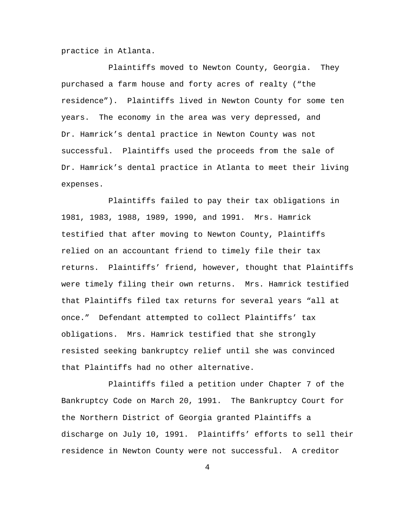practice in Atlanta.

Plaintiffs moved to Newton County, Georgia. They purchased a farm house and forty acres of realty ("the residence"). Plaintiffs lived in Newton County for some ten years. The economy in the area was very depressed, and Dr. Hamrick's dental practice in Newton County was not successful. Plaintiffs used the proceeds from the sale of Dr. Hamrick's dental practice in Atlanta to meet their living expenses.

Plaintiffs failed to pay their tax obligations in 1981, 1983, 1988, 1989, 1990, and 1991. Mrs. Hamrick testified that after moving to Newton County, Plaintiffs relied on an accountant friend to timely file their tax returns. Plaintiffs' friend, however, thought that Plaintiffs were timely filing their own returns. Mrs. Hamrick testified that Plaintiffs filed tax returns for several years "all at once." Defendant attempted to collect Plaintiffs' tax obligations. Mrs. Hamrick testified that she strongly resisted seeking bankruptcy relief until she was convinced that Plaintiffs had no other alternative.

Plaintiffs filed a petition under Chapter 7 of the Bankruptcy Code on March 20, 1991. The Bankruptcy Court for the Northern District of Georgia granted Plaintiffs a discharge on July 10, 1991. Plaintiffs' efforts to sell their residence in Newton County were not successful. A creditor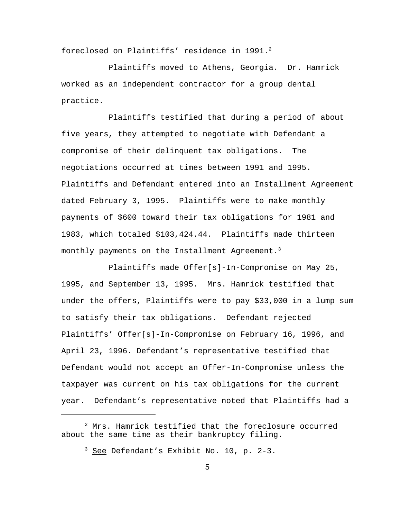foreclosed on Plaintiffs' residence in 1991.<sup>2</sup>

Plaintiffs moved to Athens, Georgia. Dr. Hamrick worked as an independent contractor for a group dental practice.

Plaintiffs testified that during a period of about five years, they attempted to negotiate with Defendant a compromise of their delinquent tax obligations. The negotiations occurred at times between 1991 and 1995. Plaintiffs and Defendant entered into an Installment Agreement dated February 3, 1995. Plaintiffs were to make monthly payments of \$600 toward their tax obligations for 1981 and 1983, which totaled \$103,424.44. Plaintiffs made thirteen monthly payments on the Installment Agreement.<sup>3</sup>

Plaintiffs made Offer[s]-In-Compromise on May 25, 1995, and September 13, 1995. Mrs. Hamrick testified that under the offers, Plaintiffs were to pay \$33,000 in a lump sum to satisfy their tax obligations. Defendant rejected Plaintiffs' Offer[s]-In-Compromise on February 16, 1996, and April 23, 1996. Defendant's representative testified that Defendant would not accept an Offer-In-Compromise unless the taxpayer was current on his tax obligations for the current year. Defendant's representative noted that Plaintiffs had a

 $^2$  Mrs. Hamrick testified that the foreclosure occurred about the same time as their bankruptcy filing.

 $3$  See Defendant's Exhibit No. 10, p. 2-3.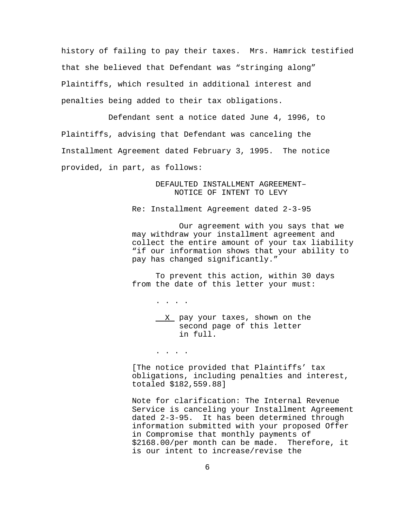history of failing to pay their taxes. Mrs. Hamrick testified that she believed that Defendant was "stringing along" Plaintiffs, which resulted in additional interest and penalties being added to their tax obligations.

Defendant sent a notice dated June 4, 1996, to Plaintiffs, advising that Defendant was canceling the Installment Agreement dated February 3, 1995. The notice provided, in part, as follows:

> DEFAULTED INSTALLMENT AGREEMENT– NOTICE OF INTENT TO LEVY

Re: Installment Agreement dated 2-3-95

 Our agreement with you says that we may withdraw your installment agreement and collect the entire amount of your tax liability "if our information shows that your ability to pay has changed significantly."

To prevent this action, within 30 days from the date of this letter your must:

> X pay your taxes, shown on the second page of this letter in full.

. . . .

. . . .

[The notice provided that Plaintiffs' tax obligations, including penalties and interest, totaled \$182,559.88]

Note for clarification: The Internal Revenue Service is canceling your Installment Agreement dated 2-3-95. It has been determined through information submitted with your proposed Offer in Compromise that monthly payments of \$2168.00/per month can be made. Therefore, it is our intent to increase/revise the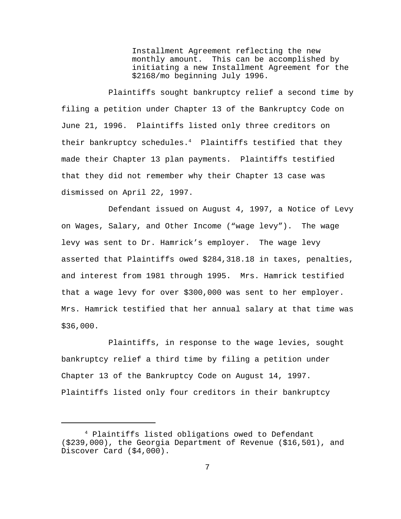Installment Agreement reflecting the new monthly amount. This can be accomplished by initiating a new Installment Agreement for the \$2168/mo beginning July 1996.

Plaintiffs sought bankruptcy relief a second time by filing a petition under Chapter 13 of the Bankruptcy Code on June 21, 1996. Plaintiffs listed only three creditors on their bankruptcy schedules. $4$  Plaintiffs testified that they made their Chapter 13 plan payments. Plaintiffs testified that they did not remember why their Chapter 13 case was dismissed on April 22, 1997.

Defendant issued on August 4, 1997, a Notice of Levy on Wages, Salary, and Other Income ("wage levy"). The wage levy was sent to Dr. Hamrick's employer. The wage levy asserted that Plaintiffs owed \$284,318.18 in taxes, penalties, and interest from 1981 through 1995. Mrs. Hamrick testified that a wage levy for over \$300,000 was sent to her employer. Mrs. Hamrick testified that her annual salary at that time was \$36,000.

Plaintiffs, in response to the wage levies, sought bankruptcy relief a third time by filing a petition under Chapter 13 of the Bankruptcy Code on August 14, 1997. Plaintiffs listed only four creditors in their bankruptcy

<sup>4</sup> Plaintiffs listed obligations owed to Defendant (\$239,000), the Georgia Department of Revenue (\$16,501), and Discover Card (\$4,000).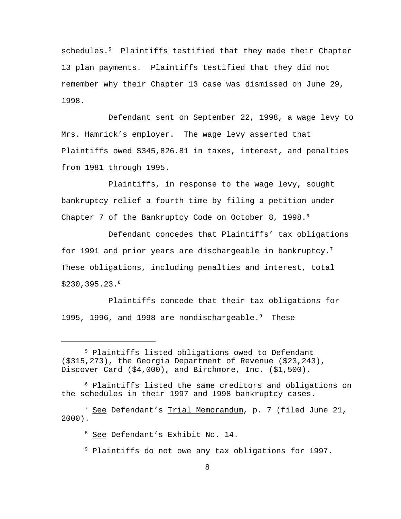schedules.<sup>5</sup> Plaintiffs testified that they made their Chapter 13 plan payments. Plaintiffs testified that they did not remember why their Chapter 13 case was dismissed on June 29, 1998.

Defendant sent on September 22, 1998, a wage levy to Mrs. Hamrick's employer. The wage levy asserted that Plaintiffs owed \$345,826.81 in taxes, interest, and penalties from 1981 through 1995.

Plaintiffs, in response to the wage levy, sought bankruptcy relief a fourth time by filing a petition under Chapter 7 of the Bankruptcy Code on October 8, 1998.<sup>6</sup>

Defendant concedes that Plaintiffs' tax obligations for 1991 and prior years are dischargeable in bankruptcy.<sup>7</sup> These obligations, including penalties and interest, total \$230,395.23.<sup>8</sup>

Plaintiffs concede that their tax obligations for 1995, 1996, and 1998 are nondischargeable.<sup>9</sup> These

<sup>8</sup> See Defendant's Exhibit No. 14.

<sup>9</sup> Plaintiffs do not owe any tax obligations for 1997.

<sup>5</sup> Plaintiffs listed obligations owed to Defendant (\$315,273), the Georgia Department of Revenue (\$23,243), Discover Card (\$4,000), and Birchmore, Inc. (\$1,500).

 $6$  Plaintiffs listed the same creditors and obligations on the schedules in their 1997 and 1998 bankruptcy cases.

<sup>&</sup>lt;sup>7</sup> See Defendant's Trial Memorandum, p. 7 (filed June 21, 2000).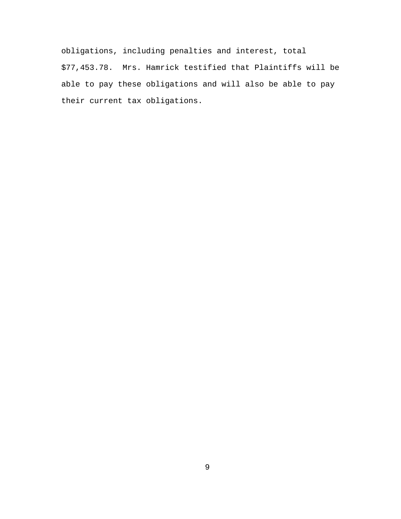obligations, including penalties and interest, total \$77,453.78. Mrs. Hamrick testified that Plaintiffs will be able to pay these obligations and will also be able to pay their current tax obligations.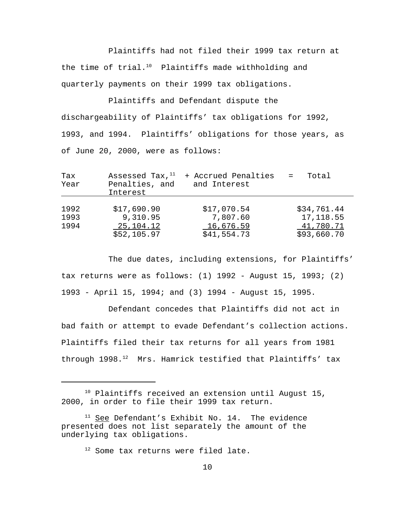Plaintiffs had not filed their 1999 tax return at the time of trial. $10$  Plaintiffs made withholding and quarterly payments on their 1999 tax obligations.

Plaintiffs and Defendant dispute the dischargeability of Plaintiffs' tax obligations for 1992, 1993, and 1994. Plaintiffs' obligations for those years, as of June 20, 2000, were as follows:

| Tax<br>Year          | Assessed Tax, $11$<br>Penalties, and<br>Interest    | + Accrued Penalties<br>and Interest                 | Total<br>$\mathbf{r} = \mathbf{r}$                    |
|----------------------|-----------------------------------------------------|-----------------------------------------------------|-------------------------------------------------------|
| 1992<br>1993<br>1994 | \$17,690.90<br>9,310.95<br>25,104.12<br>\$52,105.97 | \$17,070.54<br>7,807.60<br>16,676.59<br>\$41,554.73 | \$34,761.44<br>17, 118.55<br>41,780.71<br>\$93,660.70 |

The due dates, including extensions, for Plaintiffs' tax returns were as follows:  $(1)$  1992 - August 15, 1993;  $(2)$ 1993 - April 15, 1994; and (3) 1994 - August 15, 1995.

Defendant concedes that Plaintiffs did not act in bad faith or attempt to evade Defendant's collection actions. Plaintiffs filed their tax returns for all years from 1981 through 1998.<sup>12</sup> Mrs. Hamrick testified that Plaintiffs' tax

<sup>&</sup>lt;sup>10</sup> Plaintiffs received an extension until August 15, 2000, in order to file their 1999 tax return.

 $11$  See Defendant's Exhibit No. 14. The evidence presented does not list separately the amount of the underlying tax obligations.

<sup>&</sup>lt;sup>12</sup> Some tax returns were filed late.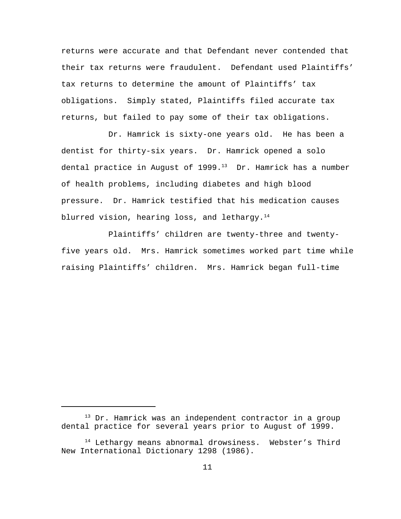returns were accurate and that Defendant never contended that their tax returns were fraudulent. Defendant used Plaintiffs' tax returns to determine the amount of Plaintiffs' tax obligations. Simply stated, Plaintiffs filed accurate tax returns, but failed to pay some of their tax obligations.

Dr. Hamrick is sixty-one years old. He has been a dentist for thirty-six years. Dr. Hamrick opened a solo dental practice in August of 1999.<sup>13</sup> Dr. Hamrick has a number of health problems, including diabetes and high blood pressure. Dr. Hamrick testified that his medication causes blurred vision, hearing loss, and lethargy.<sup>14</sup>

Plaintiffs' children are twenty-three and twentyfive years old. Mrs. Hamrick sometimes worked part time while raising Plaintiffs' children. Mrs. Hamrick began full-time

<sup>&</sup>lt;sup>13</sup> Dr. Hamrick was an independent contractor in a group dental practice for several years prior to August of 1999.

<sup>&</sup>lt;sup>14</sup> Lethargy means abnormal drowsiness. Webster's Third New International Dictionary 1298 (1986).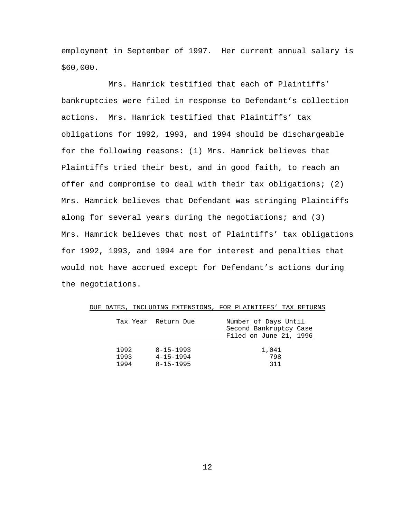employment in September of 1997. Her current annual salary is \$60,000.

Mrs. Hamrick testified that each of Plaintiffs' bankruptcies were filed in response to Defendant's collection actions. Mrs. Hamrick testified that Plaintiffs' tax obligations for 1992, 1993, and 1994 should be dischargeable for the following reasons: (1) Mrs. Hamrick believes that Plaintiffs tried their best, and in good faith, to reach an offer and compromise to deal with their tax obligations; (2) Mrs. Hamrick believes that Defendant was stringing Plaintiffs along for several years during the negotiations; and (3) Mrs. Hamrick believes that most of Plaintiffs' tax obligations for 1992, 1993, and 1994 are for interest and penalties that would not have accrued except for Defendant's actions during the negotiations.

|      | Tax Year Return Due | Number of Days Until<br>Second Bankruptcy Case<br>Filed on June 21, 1996 |
|------|---------------------|--------------------------------------------------------------------------|
| 1992 | $8 - 15 - 1993$     | 1,041                                                                    |
| 1993 | $4 - 15 - 1994$     | 798                                                                      |
| 1994 | $8 - 15 - 1995$     | 311                                                                      |

DUE DATES, INCLUDING EXTENSIONS, FOR PLAINTIFFS' TAX RETURNS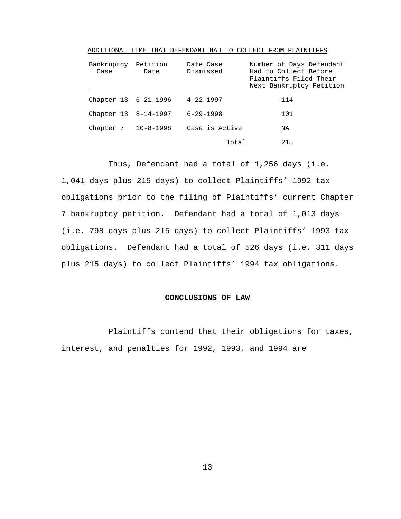| Bankruptcy<br>Case   | Petition<br>Date | Date Case<br>Dismissed | Number of Days Defendant<br>Had to Collect Before<br>Plaintiffs Filed Their<br>Next Bankruptcy Petition |
|----------------------|------------------|------------------------|---------------------------------------------------------------------------------------------------------|
|                      |                  |                        |                                                                                                         |
| Chapter 13 6-21-1996 |                  | $4 - 22 - 1997$        | 114                                                                                                     |
| Chapter 13 8-14-1997 |                  | $6 - 29 - 1998$        | 101                                                                                                     |
| Chapter 7 10-8-1998  |                  | Case is Active         | NA                                                                                                      |
|                      |                  | Total                  | 215                                                                                                     |

ADDITIONAL TIME THAT DEFENDANT HAD TO COLLECT FROM PLAINTIFFS

Thus, Defendant had a total of 1,256 days (i.e. 1,041 days plus 215 days) to collect Plaintiffs' 1992 tax obligations prior to the filing of Plaintiffs' current Chapter 7 bankruptcy petition. Defendant had a total of 1,013 days (i.e. 798 days plus 215 days) to collect Plaintiffs' 1993 tax obligations. Defendant had a total of 526 days (i.e. 311 days plus 215 days) to collect Plaintiffs' 1994 tax obligations.

#### **CONCLUSIONS OF LAW**

Plaintiffs contend that their obligations for taxes, interest, and penalties for 1992, 1993, and 1994 are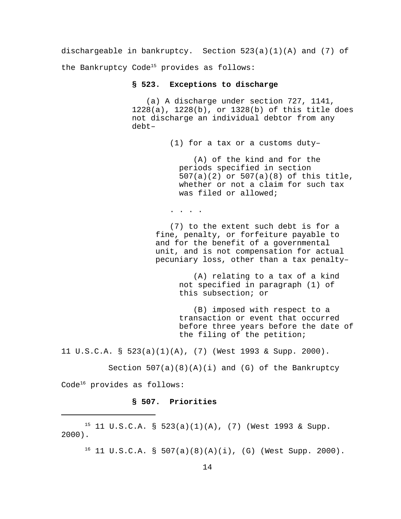dischargeable in bankruptcy. Section 523(a)(1)(A) and (7) of the Bankruptcy Code<sup>15</sup> provides as follows:

#### **§ 523. Exceptions to discharge**

 (a) A discharge under section 727, 1141, 1228(a), 1228(b), or 1328(b) of this title does not discharge an individual debtor from any debt–

(1) for a tax or a customs duty–

 (A) of the kind and for the periods specified in section 507(a)(2) or 507(a)(8) of this title, whether or not a claim for such tax was filed or allowed;

. . . .

 (7) to the extent such debt is for a fine, penalty, or forfeiture payable to and for the benefit of a governmental unit, and is not compensation for actual pecuniary loss, other than a tax penalty–

> (A) relating to a tax of a kind not specified in paragraph (1) of this subsection; or

 (B) imposed with respect to a transaction or event that occurred before three years before the date of the filing of the petition;

11 U.S.C.A. § 523(a)(1)(A), (7) (West 1993 & Supp. 2000).

Section  $507(a)(8)(A)(i)$  and (G) of the Bankruptcy Code<sup>16</sup> provides as follows:

# **§ 507. Priorities**

 $15$  11 U.S.C.A. § 523(a)(1)(A), (7) (West 1993 & Supp. 2000).

 $16$  11 U.S.C.A. § 507(a)(8)(A)(i), (G) (West Supp. 2000).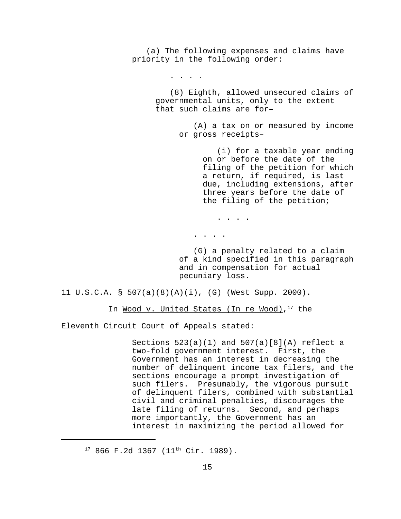(a) The following expenses and claims have priority in the following order:

. . . .

 (8) Eighth, allowed unsecured claims of governmental units, only to the extent that such claims are for–

> (A) a tax on or measured by income or gross receipts–

> > (i) for a taxable year ending on or before the date of the filing of the petition for which a return, if required, is last due, including extensions, after three years before the date of the filing of the petition;

. . . .

. . . .

 (G) a penalty related to a claim of a kind specified in this paragraph and in compensation for actual pecuniary loss.

11 U.S.C.A. § 507(a)(8)(A)(i), (G) (West Supp. 2000).

In <u>Wood v. United States (In re Wood)</u>, 17 the

Eleventh Circuit Court of Appeals stated:

Sections  $523(a)(1)$  and  $507(a)[8](A)$  reflect a two-fold government interest. First, the Government has an interest in decreasing the number of delinquent income tax filers, and the sections encourage a prompt investigation of such filers. Presumably, the vigorous pursuit of delinquent filers, combined with substantial civil and criminal penalties, discourages the late filing of returns. Second, and perhaps more importantly, the Government has an interest in maximizing the period allowed for

 $17$  866 F.2d 1367 (11<sup>th</sup> Cir. 1989).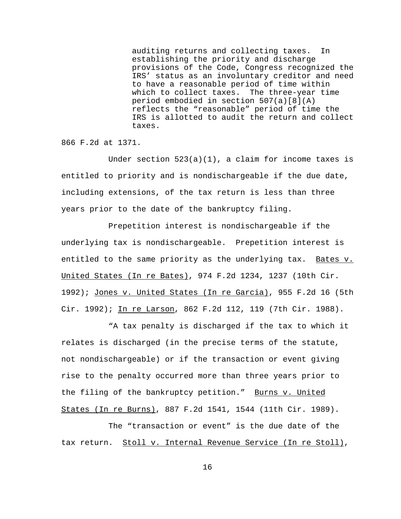auditing returns and collecting taxes. In establishing the priority and discharge provisions of the Code, Congress recognized the IRS' status as an involuntary creditor and need to have a reasonable period of time within which to collect taxes. The three-year time period embodied in section 507(a)[8](A) reflects the "reasonable" period of time the IRS is allotted to audit the return and collect taxes.

866 F.2d at 1371.

Under section  $523(a)(1)$ , a claim for income taxes is entitled to priority and is nondischargeable if the due date, including extensions, of the tax return is less than three years prior to the date of the bankruptcy filing.

Prepetition interest is nondischargeable if the underlying tax is nondischargeable. Prepetition interest is entitled to the same priority as the underlying tax. Bates v. United States (In re Bates), 974 F.2d 1234, 1237 (10th Cir. 1992); Jones v. United States (In re Garcia), 955 F.2d 16 (5th Cir. 1992); In re Larson, 862 F.2d 112, 119 (7th Cir. 1988).

"A tax penalty is discharged if the tax to which it relates is discharged (in the precise terms of the statute, not nondischargeable) or if the transaction or event giving rise to the penalty occurred more than three years prior to the filing of the bankruptcy petition." Burns v. United States (In re Burns), 887 F.2d 1541, 1544 (11th Cir. 1989).

The "transaction or event" is the due date of the tax return. Stoll v. Internal Revenue Service (In re Stoll),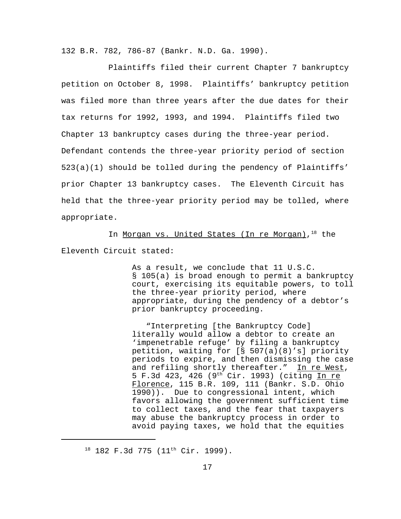132 B.R. 782, 786-87 (Bankr. N.D. Ga. 1990).

Plaintiffs filed their current Chapter 7 bankruptcy petition on October 8, 1998. Plaintiffs' bankruptcy petition was filed more than three years after the due dates for their tax returns for 1992, 1993, and 1994. Plaintiffs filed two Chapter 13 bankruptcy cases during the three-year period. Defendant contends the three-year priority period of section 523(a)(1) should be tolled during the pendency of Plaintiffs' prior Chapter 13 bankruptcy cases. The Eleventh Circuit has held that the three-year priority period may be tolled, where appropriate.

In <u>Morgan vs. United States (In re Morgan)</u>, <sup>18</sup> the Eleventh Circuit stated:

> As a result, we conclude that 11 U.S.C. § 105(a) is broad enough to permit a bankruptcy court, exercising its equitable powers, to toll the three-year priority period, where appropriate, during the pendency of a debtor's prior bankruptcy proceeding.

> "Interpreting [the Bankruptcy Code] literally would allow a debtor to create an 'impenetrable refuge' by filing a bankruptcy petition, waiting for [§ 507(a)(8)'s] priority periods to expire, and then dismissing the case and refiling shortly thereafter." In re West, 5 F.3d 423, 426 (9th Cir. 1993) (citing In re Florence, 115 B.R. 109, 111 (Bankr. S.D. Ohio 1990)). Due to congressional intent, which favors allowing the government sufficient time to collect taxes, and the fear that taxpayers may abuse the bankruptcy process in order to avoid paying taxes, we hold that the equities

 $18$  182 F.3d 775 (11<sup>th</sup> Cir. 1999).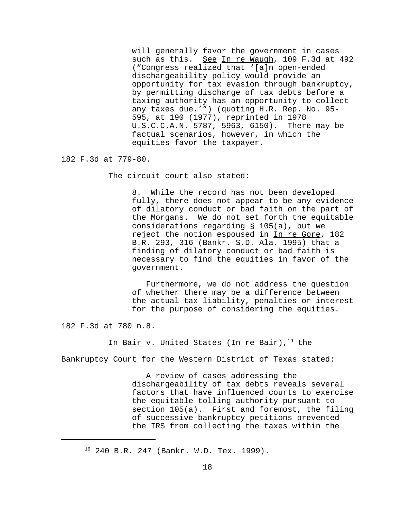will generally favor the government in cases such as this. See In re Waugh, 109 F.3d at 492 ("Congress realized that '[a]n open-ended dischargeability policy would provide an opportunity for tax evasion through bankruptcy, by permitting discharge of tax debts before a taxing authority has an opportunity to collect any taxes due.'") (quoting H.R. Rep. No. 95- 595, at 190 (1977), reprinted in 1978 U.S.C.C.A.N. 5787, 5963, 6150). There may be factual scenarios, however, in which the equities favor the taxpayer.

182 F.3d at 779-80.

The circuit court also stated:

8. While the record has not been developed fully, there does not appear to be any evidence of dilatory conduct or bad faith on the part of the Morgans. We do not set forth the equitable considerations regarding § 105(a), but we reject the notion espoused in In re Gore, 182 B.R. 293, 316 (Bankr. S.D. Ala. 1995) that a finding of dilatory conduct or bad faith is necessary to find the equities in favor of the government.

 Furthermore, we do not address the question of whether there may be a difference between the actual tax liability, penalties or interest for the purpose of considering the equities.

182 F.3d at 780 n.8.

In <u>Bair v. United States (In re Bair)</u>,<sup>19</sup> the

Bankruptcy Court for the Western District of Texas stated:

 A review of cases addressing the dischargeability of tax debts reveals several factors that have influenced courts to exercise the equitable tolling authority pursuant to section 105(a). First and foremost, the filing of successive bankruptcy petitions prevented the IRS from collecting the taxes within the

<sup>&</sup>lt;sup>19</sup> 240 B.R. 247 (Bankr. W.D. Tex. 1999).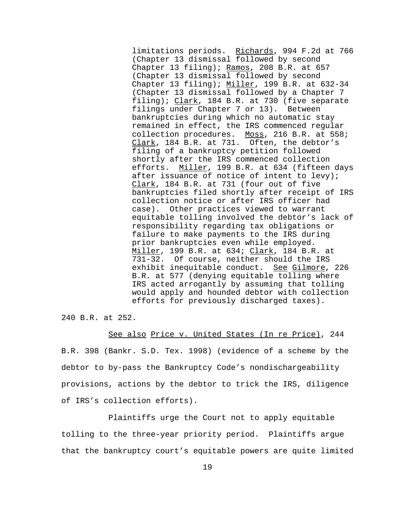limitations periods. Richards, 994 F.2d at 766 (Chapter 13 dismissal followed by second Chapter 13 filing); Ramos, 208 B.R. at 657 (Chapter 13 dismissal followed by second Chapter 13 filing); Miller, 199 B.R. at 632-34 (Chapter 13 dismissal followed by a Chapter 7 filing); Clark, 184 B.R. at 730 (five separate filings under Chapter 7 or 13). Between bankruptcies during which no automatic stay remained in effect, the IRS commenced regular collection procedures. Moss, 216 B.R. at 558; Clark, 184 B.R. at 731. Often, the debtor's filing of a bankruptcy petition followed shortly after the IRS commenced collection efforts. Miller, 199 B.R. at 634 (fifteen days after issuance of notice of intent to levy); Clark, 184 B.R. at 731 (four out of five bankruptcies filed shortly after receipt of IRS collection notice or after IRS officer had case). Other practices viewed to warrant equitable tolling involved the debtor's lack of responsibility regarding tax obligations or failure to make payments to the IRS during prior bankruptcies even while employed. Miller, 199 B.R. at 634; Clark, 184 B.R. at 731-32. Of course, neither should the IRS exhibit inequitable conduct. See Gilmore, 226 B.R. at 577 (denying equitable tolling where IRS acted arrogantly by assuming that tolling would apply and hounded debtor with collection efforts for previously discharged taxes).

240 B.R. at 252.

See also Price v. United States (In re Price), 244 B.R. 398 (Bankr. S.D. Tex. 1998) (evidence of a scheme by the debtor to by-pass the Bankruptcy Code's nondischargeability provisions, actions by the debtor to trick the IRS, diligence of IRS's collection efforts).

Plaintiffs urge the Court not to apply equitable tolling to the three-year priority period. Plaintiffs argue that the bankruptcy court's equitable powers are quite limited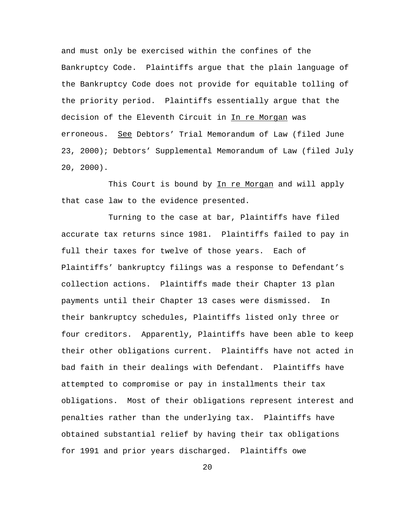and must only be exercised within the confines of the Bankruptcy Code. Plaintiffs argue that the plain language of the Bankruptcy Code does not provide for equitable tolling of the priority period. Plaintiffs essentially argue that the decision of the Eleventh Circuit in In re Morgan was erroneous. See Debtors' Trial Memorandum of Law (filed June 23, 2000); Debtors' Supplemental Memorandum of Law (filed July 20, 2000).

This Court is bound by In re Morgan and will apply that case law to the evidence presented.

Turning to the case at bar, Plaintiffs have filed accurate tax returns since 1981. Plaintiffs failed to pay in full their taxes for twelve of those years. Each of Plaintiffs' bankruptcy filings was a response to Defendant's collection actions. Plaintiffs made their Chapter 13 plan payments until their Chapter 13 cases were dismissed. In their bankruptcy schedules, Plaintiffs listed only three or four creditors. Apparently, Plaintiffs have been able to keep their other obligations current. Plaintiffs have not acted in bad faith in their dealings with Defendant. Plaintiffs have attempted to compromise or pay in installments their tax obligations. Most of their obligations represent interest and penalties rather than the underlying tax. Plaintiffs have obtained substantial relief by having their tax obligations for 1991 and prior years discharged. Plaintiffs owe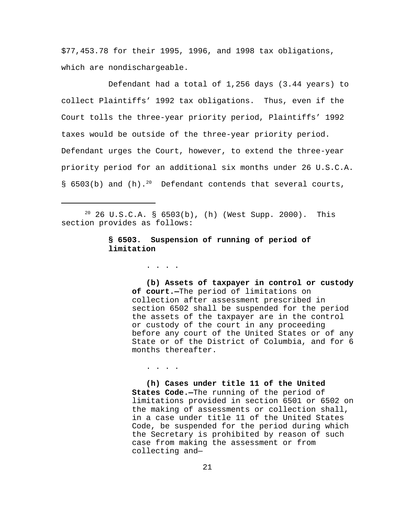\$77,453.78 for their 1995, 1996, and 1998 tax obligations, which are nondischargeable.

Defendant had a total of 1,256 days (3.44 years) to collect Plaintiffs' 1992 tax obligations. Thus, even if the Court tolls the three-year priority period, Plaintiffs' 1992 taxes would be outside of the three-year priority period. Defendant urges the Court, however, to extend the three-year priority period for an additional six months under 26 U.S.C.A. § 6503(b) and  $(h)$ .<sup>20</sup> Defendant contends that several courts,

 $20$  26 U.S.C.A. § 6503(b), (h) (West Supp. 2000). This section provides as follows:

## **§ 6503. Suspension of running of period of limitation**

. . . .

. . . .

 **(b) Assets of taxpayer in control or custody of court.—**The period of limitations on collection after assessment prescribed in section 6502 shall be suspended for the period the assets of the taxpayer are in the control or custody of the court in any proceeding before any court of the United States or of any State or of the District of Columbia, and for 6 months thereafter.

 **(h) Cases under title 11 of the United States Code.—**The running of the period of limitations provided in section 6501 or 6502 on the making of assessments or collection shall, in a case under title 11 of the United States Code, be suspended for the period during which the Secretary is prohibited by reason of such case from making the assessment or from collecting and—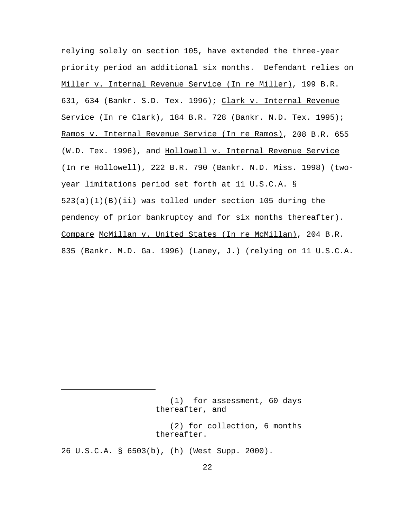relying solely on section 105, have extended the three-year priority period an additional six months. Defendant relies on Miller v. Internal Revenue Service (In re Miller), 199 B.R. 631, 634 (Bankr. S.D. Tex. 1996); Clark v. Internal Revenue Service (In re Clark), 184 B.R. 728 (Bankr. N.D. Tex. 1995); Ramos v. Internal Revenue Service (In re Ramos), 208 B.R. 655 (W.D. Tex. 1996), and Hollowell v. Internal Revenue Service (In re Hollowell), 222 B.R. 790 (Bankr. N.D. Miss. 1998) (twoyear limitations period set forth at 11 U.S.C.A. § 523(a)(1)(B)(ii) was tolled under section 105 during the pendency of prior bankruptcy and for six months thereafter). Compare McMillan v. United States (In re McMillan), 204 B.R. 835 (Bankr. M.D. Ga. 1996) (Laney, J.) (relying on 11 U.S.C.A.

 <sup>(1)</sup> for assessment, 60 days thereafter, and

 <sup>(2)</sup> for collection, 6 months thereafter.

<sup>26</sup> U.S.C.A. § 6503(b), (h) (West Supp. 2000).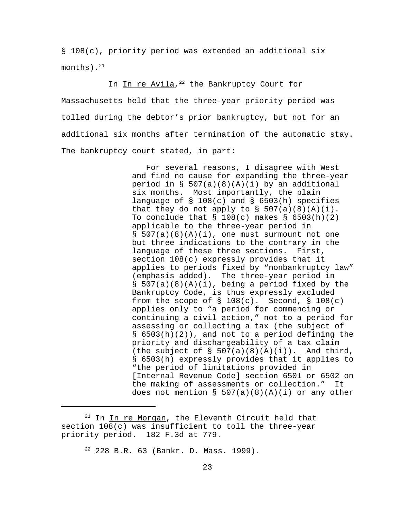§ 108(c), priority period was extended an additional six months). $^{21}$ 

# In In re Avila,<sup>22</sup> the Bankruptcy Court for

Massachusetts held that the three-year priority period was tolled during the debtor's prior bankruptcy, but not for an additional six months after termination of the automatic stay. The bankruptcy court stated, in part:

> For several reasons, I disagree with West and find no cause for expanding the three-year period in  $\S$  507(a)(8)(A)(i) by an additional six months. Most importantly, the plain language of § 108(c) and § 6503(h) specifies that they do not apply to  $\S$  507(a)(8)(A)(i). To conclude that  $\S$  108(c) makes  $\S$  6503(h)(2) applicable to the three-year period in  $§ 507(a)(8)(A)(i)$ , one must surmount not one but three indications to the contrary in the language of these three sections. First, section 108(c) expressly provides that it applies to periods fixed by "nonbankruptcy law" (emphasis added). The three-year period in § 507(a)(8)(A)(i), being a period fixed by the Bankruptcy Code, is thus expressly excluded from the scope of  $\S$  108(c). Second,  $\S$  108(c) applies only to "a period for commencing or continuing a civil action," not to a period for assessing or collecting a tax (the subject of § 6503(h)(2)), and not to a period defining the priority and dischargeability of a tax claim (the subject of  $\S$  507(a)(8)(A)(i)). And third, § 6503(h) expressly provides that it applies to "the period of limitations provided in [Internal Revenue Code] section 6501 or 6502 on the making of assessments or collection." It does not mention  $\S$  507(a)(8)(A)(i) or any other

 $21$  In In re Morgan, the Eleventh Circuit held that section  $108(c)$  was insufficient to toll the three-year priority period. 182 F.3d at 779.

<sup>22</sup> 228 B.R. 63 (Bankr. D. Mass. 1999).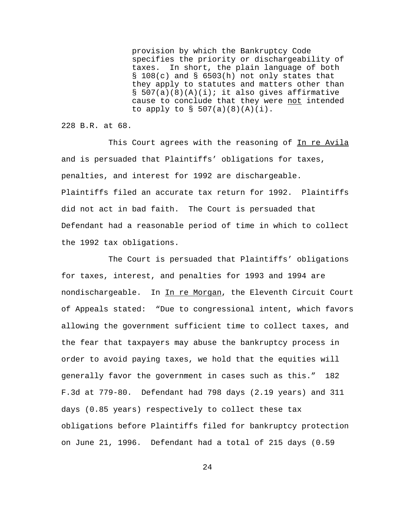provision by which the Bankruptcy Code specifies the priority or dischargeability of taxes. In short, the plain language of both § 108(c) and § 6503(h) not only states that they apply to statutes and matters other than  $\S$  507(a)(8)(A)(i); it also gives affirmative cause to conclude that they were not intended to apply to  $\S$  507(a)(8)(A)(i).

228 B.R. at 68.

This Court agrees with the reasoning of In re Avila and is persuaded that Plaintiffs' obligations for taxes, penalties, and interest for 1992 are dischargeable. Plaintiffs filed an accurate tax return for 1992. Plaintiffs did not act in bad faith. The Court is persuaded that Defendant had a reasonable period of time in which to collect the 1992 tax obligations.

The Court is persuaded that Plaintiffs' obligations for taxes, interest, and penalties for 1993 and 1994 are nondischargeable. In In re Morgan, the Eleventh Circuit Court of Appeals stated: "Due to congressional intent, which favors allowing the government sufficient time to collect taxes, and the fear that taxpayers may abuse the bankruptcy process in order to avoid paying taxes, we hold that the equities will generally favor the government in cases such as this." 182 F.3d at 779-80. Defendant had 798 days (2.19 years) and 311 days (0.85 years) respectively to collect these tax obligations before Plaintiffs filed for bankruptcy protection on June 21, 1996. Defendant had a total of 215 days (0.59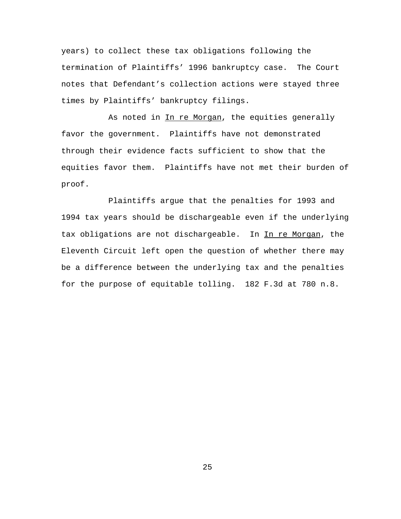years) to collect these tax obligations following the termination of Plaintiffs' 1996 bankruptcy case. The Court notes that Defendant's collection actions were stayed three times by Plaintiffs' bankruptcy filings.

As noted in In re Morgan, the equities generally favor the government. Plaintiffs have not demonstrated through their evidence facts sufficient to show that the equities favor them. Plaintiffs have not met their burden of proof.

Plaintiffs argue that the penalties for 1993 and 1994 tax years should be dischargeable even if the underlying tax obligations are not dischargeable. In In re Morgan, the Eleventh Circuit left open the question of whether there may be a difference between the underlying tax and the penalties for the purpose of equitable tolling. 182 F.3d at 780 n.8.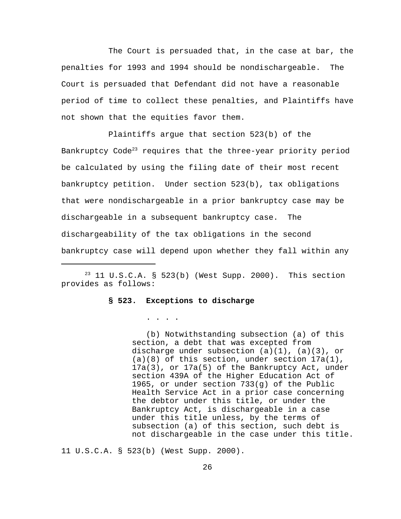The Court is persuaded that, in the case at bar, the penalties for 1993 and 1994 should be nondischargeable. The Court is persuaded that Defendant did not have a reasonable period of time to collect these penalties, and Plaintiffs have not shown that the equities favor them.

Plaintiffs argue that section 523(b) of the Bankruptcy Code<sup>23</sup> requires that the three-year priority period be calculated by using the filing date of their most recent bankruptcy petition. Under section 523(b), tax obligations that were nondischargeable in a prior bankruptcy case may be dischargeable in a subsequent bankruptcy case. The dischargeability of the tax obligations in the second bankruptcy case will depend upon whether they fall within any

 $23$  11 U.S.C.A. § 523(b) (West Supp. 2000). This section provides as follows:

### **§ 523. Exceptions to discharge**

. . . .

 (b) Notwithstanding subsection (a) of this section, a debt that was excepted from discharge under subsection (a)(1), (a)(3), or  $(a)(8)$  of this section, under section  $17a(1)$ , 17a(3), or 17a(5) of the Bankruptcy Act, under section 439A of the Higher Education Act of 1965, or under section 733(g) of the Public Health Service Act in a prior case concerning the debtor under this title, or under the Bankruptcy Act, is dischargeable in a case under this title unless, by the terms of subsection (a) of this section, such debt is not dischargeable in the case under this title.

11 U.S.C.A. § 523(b) (West Supp. 2000).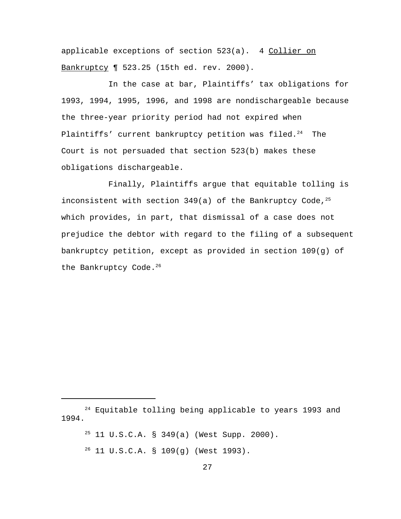applicable exceptions of section 523(a). 4 Collier on Bankruptcy ¶ 523.25 (15th ed. rev. 2000).

In the case at bar, Plaintiffs' tax obligations for 1993, 1994, 1995, 1996, and 1998 are nondischargeable because the three-year priority period had not expired when Plaintiffs' current bankruptcy petition was filed.<sup>24</sup> The Court is not persuaded that section 523(b) makes these obligations dischargeable.

Finally, Plaintiffs argue that equitable tolling is inconsistent with section 349(a) of the Bankruptcy Code,  $25$ which provides, in part, that dismissal of a case does not prejudice the debtor with regard to the filing of a subsequent bankruptcy petition, except as provided in section 109(g) of the Bankruptcy Code.<sup>26</sup>

- $25$  11 U.S.C.A. § 349(a) (West Supp. 2000).
- $26$  11 U.S.C.A. § 109(g) (West 1993).

<sup>&</sup>lt;sup>24</sup> Equitable tolling being applicable to years 1993 and 1994.